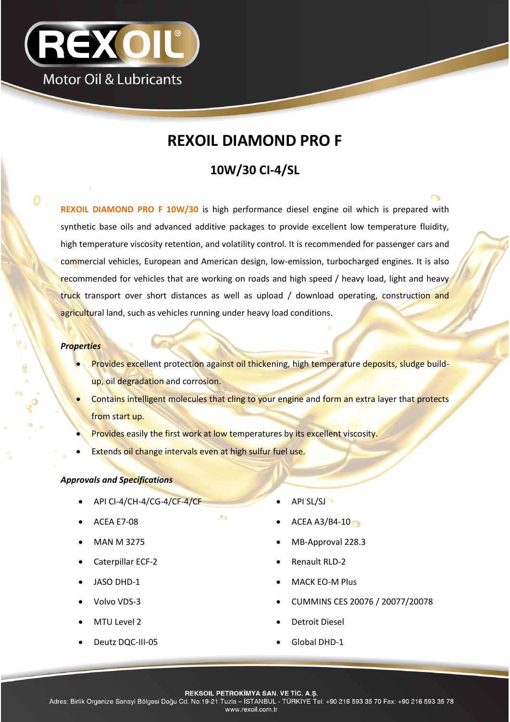

# **REXOIL DIAMOND PRO F**

# **10W/30 CI-4/SL**

**REXOIL DIAMOND PRO F 10W/30** is high performance diesel engine oil which is prepared with synthetic base oils and advanced additive packages to provide excellent low temperature fluidity, high temperature viscosity retention, and volatility control. It is recommended for passenger cars and commercial vehicles, European and American design, low-emission, turbocharged engines. It is also recommended for vehicles that are working on roads and high speed / heavy load, light and heavy truck transport over short distances as well as upload / download operating, construction and agricultural land, such as vehicles running under heavy load conditions.

#### *Properties*

- Provides excellent protection against oil thickening, high temperature deposits, sludge buildup, oil degradation and corrosion.
- Contains intelligent molecules that cling to your engine and form an extra layer that protects from start up.
- Provides easily the first work at low temperatures by its excellent viscosity.
- Extends oil change intervals even at high sulfur fuel use.

## *Approvals and Specifications*

- API CI-4/CH-4/CG-4/CF-4/CF API SL/SJ
- 
- 
- 
- 
- 
- 
- 
- 
- ACEA E7-08 **ACEA A3/B4-10**
- MAN M 3275 **MB-Approval 228.3**
- Caterpillar ECF-2 **and Caterpillar ECF-2 Caterpillar ECF-2**
- JASO DHD-1 **MACK EO-M Plus**
- Volvo VDS-3 CUMMINS CES 20076 / 20077/20078
- MTU Level 2 and 2 and 2 and 2 and 2 and 2 and 2 and 2 and 2 and 2 and 2 and 2 and 2 and 2 and 2 and 2 and 2 and 2 and 2 and 2 and 2 and 2 and 2 and 2 and 2 and 2 and 2 and 2 and 2 and 2 and 2 and 2 and 2 and 2 and 2 and 2
- Deutz DQC-III-05 <br>
Global DHD-1

**REKSOIL PETROKIMYA SAN. VE TIC. A.S.** 

Adres: Birlik Organize Sanayi Bölgesi Doğu Cd. No:19-21 Tuzla - İSTANBUL - TÜRKİYE Tel: +90 216 593 35 70 Fax: +90 216 593 35 78 www.rexoil.com.tr